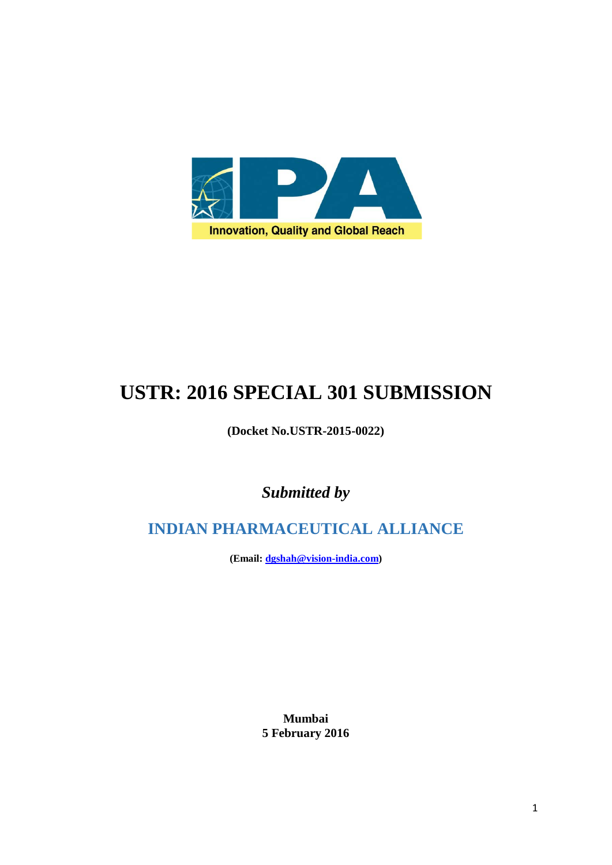

# **USTR: 2016 SPECIAL 301 SUBMISSION**

## **(Docket No.USTR-2015-0022)**

*Submitted by*

**INDIAN PHARMACEUTICAL ALLIANCE**

**(Email: [dgshah@vision-india.com\)](mailto:dgshah@vision-india.com)**

**Mumbai 5 February 2016**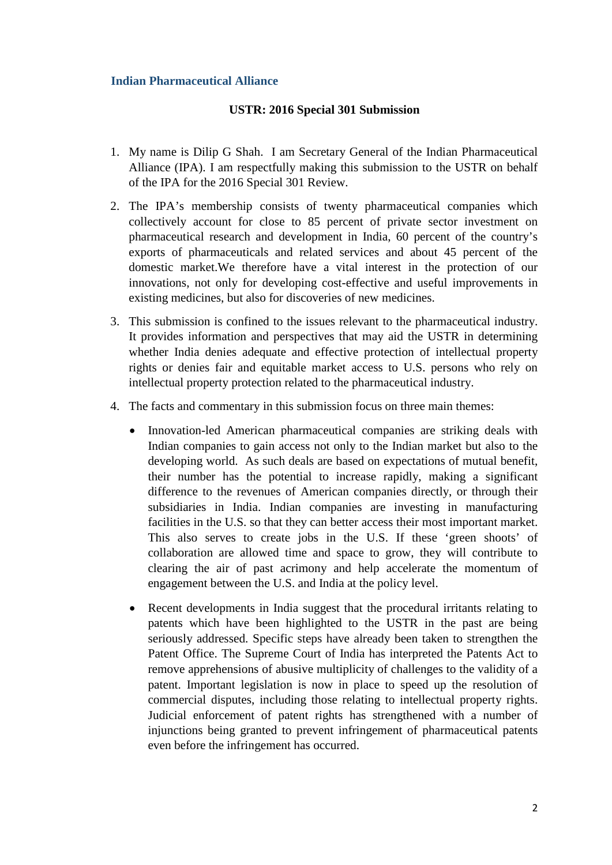## **USTR: 2016 Special 301 Submission**

- 1. My name is Dilip G Shah. I am Secretary General of the Indian Pharmaceutical Alliance (IPA). I am respectfully making this submission to the USTR on behalf of the IPA for the 2016 Special 301 Review.
- 2. The IPA's membership consists of twenty pharmaceutical companies which collectively account for close to 85 percent of private sector investment on pharmaceutical research and development in India, 60 percent of the country's exports of pharmaceuticals and related services and about 45 percent of the domestic market.We therefore have a vital interest in the protection of our innovations, not only for developing cost-effective and useful improvements in existing medicines, but also for discoveries of new medicines.
- 3. This submission is confined to the issues relevant to the pharmaceutical industry. It provides information and perspectives that may aid the USTR in determining whether India denies adequate and effective protection of intellectual property rights or denies fair and equitable market access to U.S. persons who rely on intellectual property protection related to the pharmaceutical industry.
- 4. The facts and commentary in this submission focus on three main themes:
	- Innovation-led American pharmaceutical companies are striking deals with Indian companies to gain access not only to the Indian market but also to the developing world. As such deals are based on expectations of mutual benefit, their number has the potential to increase rapidly, making a significant difference to the revenues of American companies directly, or through their subsidiaries in India. Indian companies are investing in manufacturing facilities in the U.S. so that they can better access their most important market. This also serves to create jobs in the U.S. If these 'green shoots' of collaboration are allowed time and space to grow, they will contribute to clearing the air of past acrimony and help accelerate the momentum of engagement between the U.S. and India at the policy level.
	- Recent developments in India suggest that the procedural irritants relating to patents which have been highlighted to the USTR in the past are being seriously addressed. Specific steps have already been taken to strengthen the Patent Office. The Supreme Court of India has interpreted the Patents Act to remove apprehensions of abusive multiplicity of challenges to the validity of a patent. Important legislation is now in place to speed up the resolution of commercial disputes, including those relating to intellectual property rights. Judicial enforcement of patent rights has strengthened with a number of injunctions being granted to prevent infringement of pharmaceutical patents even before the infringement has occurred.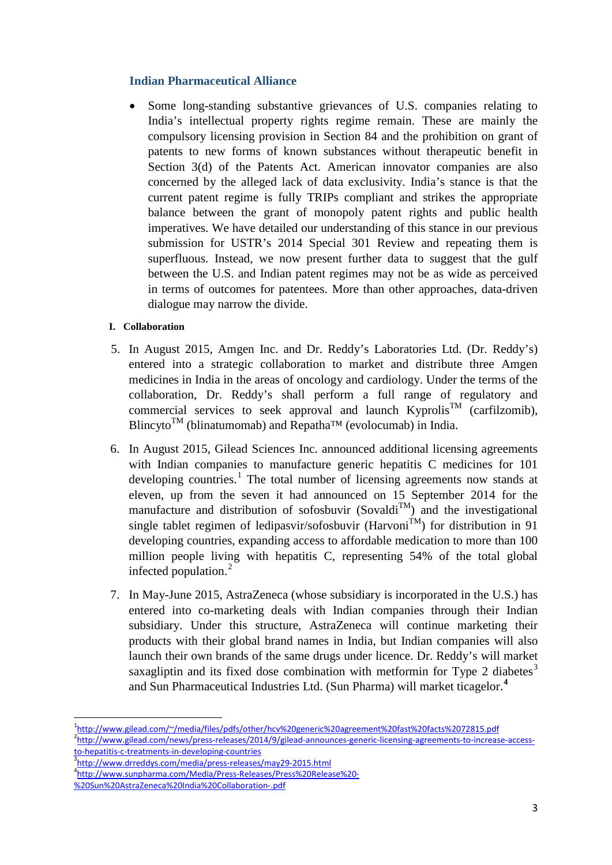Some long-standing substantive grievances of U.S. companies relating to India's intellectual property rights regime remain. These are mainly the compulsory licensing provision in Section 84 and the prohibition on grant of patents to new forms of known substances without therapeutic benefit in Section 3(d) of the Patents Act. American innovator companies are also concerned by the alleged lack of data exclusivity. India's stance is that the current patent regime is fully TRIPs compliant and strikes the appropriate balance between the grant of monopoly patent rights and public health imperatives. We have detailed our understanding of this stance in our previous submission for USTR's 2014 Special 301 Review and repeating them is superfluous. Instead, we now present further data to suggest that the gulf between the U.S. and Indian patent regimes may not be as wide as perceived in terms of outcomes for patentees. More than other approaches, data-driven dialogue may narrow the divide.

## **I. Collaboration**

- 5. In August 2015, Amgen Inc. and Dr. Reddy's Laboratories Ltd. (Dr. Reddy's) entered into a strategic collaboration to market and distribute three Amgen medicines in India in the areas of oncology and cardiology. Under the terms of the collaboration, Dr. Reddy's shall perform a full range of regulatory and commercial services to seek approval and launch  $Kyprolis^{TM}$  (carfilzomib), Blincyto<sup>TM</sup> (blinatumomab) and Repatha<sup>TM</sup> (evolocumab) in India.
- 6. In August 2015, Gilead Sciences Inc. announced additional licensing agreements with Indian companies to manufacture generic hepatitis C medicines for 101 developing countries.<sup>[1](#page-2-0)</sup> The total number of licensing agreements now stands at eleven, up from the seven it had announced on 15 September 2014 for the manufacture and distribution of sofosbuvir (Sovaldi<sup>TM</sup>) and the investigational single tablet regimen of ledipasvir/sofosbuvir (Harvoni<sup>TM</sup>) for distribution in 91 developing countries, expanding access to affordable medication to more than 100 million people living with hepatitis C, representing 54% of the total global infected population.<sup>[2](#page-2-1)</sup>
- 7. In May-June 2015, AstraZeneca (whose subsidiary is incorporated in the U.S.) has entered into co-marketing deals with Indian companies through their Indian subsidiary. Under this structure, AstraZeneca will continue marketing their products with their global brand names in India, but Indian companies will also launch their own brands of the same drugs under licence. Dr. Reddy's will market saxagliptin and its fixed dose combination with metformin for Type 2 diabetes<sup>[3](#page-2-2)</sup> and Sun Pharmaceutical Industries Ltd. (Sun Pharma) will market ticagelor.**[4](#page-2-3)**

 $\frac{1}{1}$ <http://www.gilead.com/~/media/files/pdfs/other/hcv%20generic%20agreement%20fast%20facts%2072815.pdf>

<span id="page-2-1"></span><span id="page-2-0"></span><sup>2</sup> [http://www.gilead.com/news/press-releases/2014/9/gilead-announces-generic-licensing-agreements-to-increase-access](http://www.gilead.com/news/press-releases/2014/9/gilead-announces-generic-licensing-agreements-to-increase-access-to-hepatitis-c-treatments-in-developing-countries)[to-hepatitis-c-treatments-in-developing-countries](http://www.gilead.com/news/press-releases/2014/9/gilead-announces-generic-licensing-agreements-to-increase-access-to-hepatitis-c-treatments-in-developing-countries)

<sup>&</sup>lt;sup>3</sup><http://www.drreddys.com/media/press-releases/may29-2015.html>

<span id="page-2-3"></span><span id="page-2-2"></span>[http://www.sunpharma.com/Media/Press-Releases/Press%20Release%20-](http://www.sunpharma.com/Media/Press-Releases/Press%20Release%20-%20Sun%20AstraZeneca%20India%20Collaboration-.pdf)

[<sup>%20</sup>Sun%20AstraZeneca%20India%20Collaboration-.pdf](http://www.sunpharma.com/Media/Press-Releases/Press%20Release%20-%20Sun%20AstraZeneca%20India%20Collaboration-.pdf)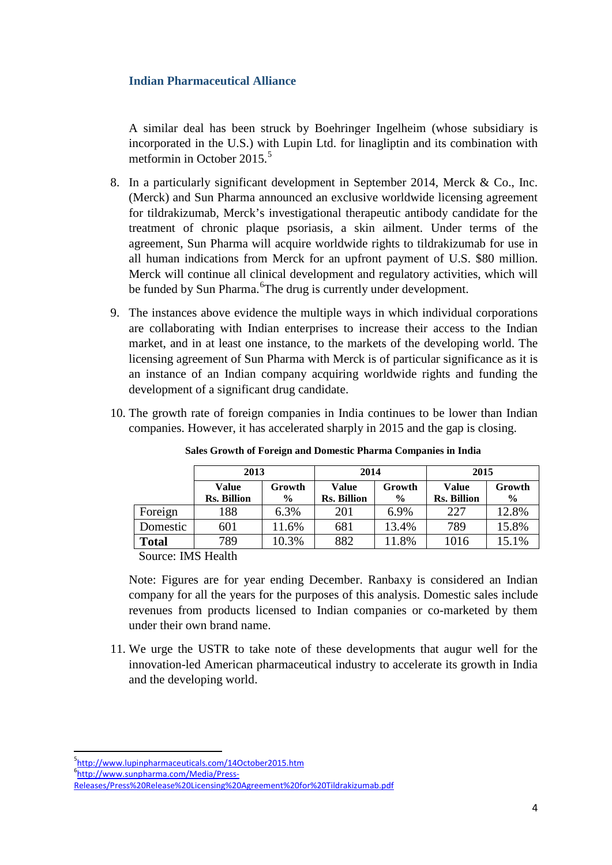A similar deal has been struck by Boehringer Ingelheim (whose subsidiary is incorporated in the U.S.) with Lupin Ltd. for linagliptin and its combination with metformin in October  $2015<sup>5</sup>$  $2015<sup>5</sup>$  $2015<sup>5</sup>$ 

- 8. In a particularly significant development in September 2014, Merck & Co., Inc. (Merck) and Sun Pharma announced an exclusive worldwide licensing agreement for tildrakizumab, Merck's investigational therapeutic antibody candidate for the treatment of chronic plaque psoriasis, a skin ailment. Under terms of the agreement, Sun Pharma will acquire worldwide rights to tildrakizumab for use in all human indications from Merck for an upfront payment of U.S. \$80 million. Merck will continue all clinical development and regulatory activities, which will be funded by Sun Pharma. <sup>[6](#page-3-1)</sup>The drug is currently under development.
- 9. The instances above evidence the multiple ways in which individual corporations are collaborating with Indian enterprises to increase their access to the Indian market, and in at least one instance, to the markets of the developing world. The licensing agreement of Sun Pharma with Merck is of particular significance as it is an instance of an Indian company acquiring worldwide rights and funding the development of a significant drug candidate.
- 10. The growth rate of foreign companies in India continues to be lower than Indian companies. However, it has accelerated sharply in 2015 and the gap is closing.

|              | 2013               |        | 2014               |               | 2015               |        |
|--------------|--------------------|--------|--------------------|---------------|--------------------|--------|
|              | <b>Value</b>       | Growth | <b>Value</b>       | Growth        | Value              | Growth |
|              | <b>Rs. Billion</b> | $\%$   | <b>Rs. Billion</b> | $\frac{6}{9}$ | <b>Rs. Billion</b> | $\%$   |
| Foreign      | 188                | 6.3%   | 201                | 6.9%          | 227                | 12.8%  |
| Domestic     | 601                | 11.6%  | 681                | 13.4%         | 789                | 15.8%  |
| <b>Total</b> | 789                | 10.3%  | 882                | 11.8%         | 1016               | 15.1%  |

**Sales Growth of Foreign and Domestic Pharma Companies in India**

Source: IMS Health

Note: Figures are for year ending December. Ranbaxy is considered an Indian company for all the years for the purposes of this analysis. Domestic sales include revenues from products licensed to Indian companies or co-marketed by them under their own brand name.

11. We urge the USTR to take note of these developments that augur well for the innovation-led American pharmaceutical industry to accelerate its growth in India and the developing world.

-<br>5 <http://www.lupinpharmaceuticals.com/14October2015.htm>

<span id="page-3-1"></span><span id="page-3-0"></span><sup>6</sup> [http://www.sunpharma.com/Media/Press-](http://www.sunpharma.com/Media/Press-Releases/Press%20Release%20Licensing%20Agreement%20for%20Tildrakizumab.pdf)

[Releases/Press%20Release%20Licensing%20Agreement%20for%20Tildrakizumab.pdf](http://www.sunpharma.com/Media/Press-Releases/Press%20Release%20Licensing%20Agreement%20for%20Tildrakizumab.pdf)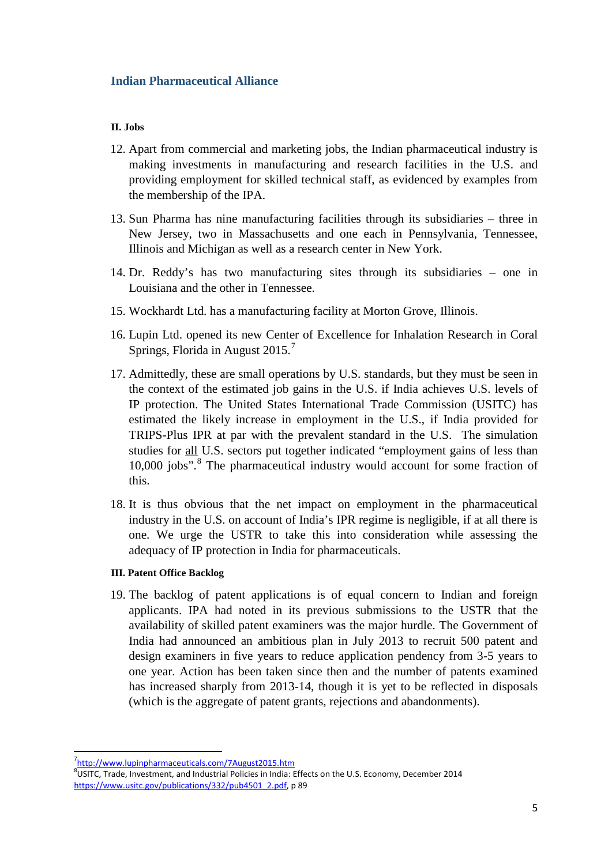## **II. Jobs**

- 12. Apart from commercial and marketing jobs, the Indian pharmaceutical industry is making investments in manufacturing and research facilities in the U.S. and providing employment for skilled technical staff, as evidenced by examples from the membership of the IPA.
- 13. Sun Pharma has nine manufacturing facilities through its subsidiaries three in New Jersey, two in Massachusetts and one each in Pennsylvania, Tennessee, Illinois and Michigan as well as a research center in New York.
- 14. Dr. Reddy's has two manufacturing sites through its subsidiaries one in Louisiana and the other in Tennessee.
- 15. Wockhardt Ltd. has a manufacturing facility at Morton Grove, Illinois.
- 16. Lupin Ltd. opened its new Center of Excellence for Inhalation Research in Coral Springs, Florida in August 2015.<sup>[7](#page-4-0)</sup>
- 17. Admittedly, these are small operations by U.S. standards, but they must be seen in the context of the estimated job gains in the U.S. if India achieves U.S. levels of IP protection. The United States International Trade Commission (USITC) has estimated the likely increase in employment in the U.S., if India provided for TRIPS-Plus IPR at par with the prevalent standard in the U.S. The simulation studies for all U.S. sectors put together indicated "employment gains of less than 10,000 jobs".<sup>[8](#page-4-1)</sup> The pharmaceutical industry would account for some fraction of this.
- 18. It is thus obvious that the net impact on employment in the pharmaceutical industry in the U.S. on account of India's IPR regime is negligible, if at all there is one. We urge the USTR to take this into consideration while assessing the adequacy of IP protection in India for pharmaceuticals.

#### **III. Patent Office Backlog**

19. The backlog of patent applications is of equal concern to Indian and foreign applicants. IPA had noted in its previous submissions to the USTR that the availability of skilled patent examiners was the major hurdle. The Government of India had announced an ambitious plan in July 2013 to recruit 500 patent and design examiners in five years to reduce application pendency from 3-5 years to one year. Action has been taken since then and the number of patents examined has increased sharply from 2013-14, though it is yet to be reflected in disposals (which is the aggregate of patent grants, rejections and abandonments).

<sup>-&</sup>lt;br>7 <http://www.lupinpharmaceuticals.com/7August2015.htm>

<span id="page-4-1"></span><span id="page-4-0"></span><sup>&</sup>lt;sup>8</sup>USITC, Trade, Investment, and Industrial Policies in India: Effects on the U.S. Economy, December 2014 [https://www.usitc.gov/publications/332/pub4501\\_2.pdf,](https://www.usitc.gov/publications/332/pub4501_2.pdf) p 89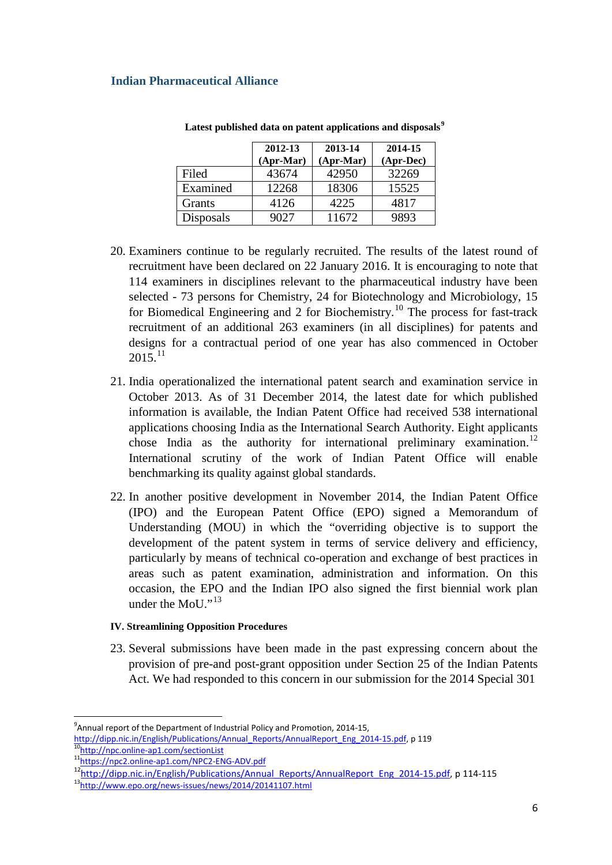|           | 2012-13<br>$(Apr-Mar)$ | 2013-14<br>$(Apr-Mar)$ | 2014-15<br>(Apr-Dec) |
|-----------|------------------------|------------------------|----------------------|
| Filed     | 43674                  | 42950                  | 32269                |
| Examined  | 12268                  | 18306                  | 15525                |
| Grants    | 4126                   | 4225                   | 4817                 |
| Disposals | 9027                   | 11672                  | 9893                 |

**Latest published data on patent applications and disposals[9](#page-5-0)**

- 20. Examiners continue to be regularly recruited. The results of the latest round of recruitment have been declared on 22 January 2016. It is encouraging to note that 114 examiners in disciplines relevant to the pharmaceutical industry have been selected - 73 persons for Chemistry, 24 for Biotechnology and Microbiology, 15 for Biomedical Engineering and 2 for Biochemistry.<sup>[10](#page-5-1)</sup> The process for fast-track recruitment of an additional 263 examiners (in all disciplines) for patents and designs for a contractual period of one year has also commenced in October  $2015^{11}$  $2015^{11}$  $2015^{11}$
- 21. India operationalized the international patent search and examination service in October 2013. As of 31 December 2014, the latest date for which published information is available, the Indian Patent Office had received 538 international applications choosing India as the International Search Authority. Eight applicants chose India as the authority for international preliminary examination.<sup>[12](#page-5-3)</sup> International scrutiny of the work of Indian Patent Office will enable benchmarking its quality against global standards.
- 22. In another positive development in November 2014, the Indian Patent Office (IPO) and the European Patent Office (EPO) signed a Memorandum of Understanding (MOU) in which the "overriding objective is to support the development of the patent system in terms of service delivery and efficiency, particularly by means of technical co-operation and exchange of best practices in areas such as patent examination, administration and information. On this occasion, the EPO and the Indian IPO also signed the first biennial work plan under the MoU."<sup>[13](#page-5-4)</sup>

## **IV. Streamlining Opposition Procedures**

23. Several submissions have been made in the past expressing concern about the provision of pre-and post-grant opposition under Section 25 of the Indian Patents Act. We had responded to this concern in our submission for the 2014 Special 301

<sup>-&</sup>lt;br>9  $9$ Annual report of the Department of Industrial Policy and Promotion, 2014-15,

<span id="page-5-1"></span><span id="page-5-0"></span>[http://dipp.nic.in/English/Publications/Annual\\_Reports/AnnualReport\\_Eng\\_2014-15.pdf,](http://dipp.nic.in/English/Publications/Annual_Reports/AnnualReport_Eng_2014-15.pdf) p 119<br><sup>10</sup>http://npc.online-ap1.com/sectionList <sup>11</sup>https://npc2.online-ap1.com/NPC2-ENG-ADV.pdf

<span id="page-5-4"></span><span id="page-5-3"></span><span id="page-5-2"></span><sup>12&</sup>lt;br>http://dipp.nic.in/English/Publications/Annual\_Reports/AnnualReport\_Eng\_2014-15.pdf, p 114-115<br><sup>13</sup>http://www.epo.org/news-issues/news/2014/20141107.html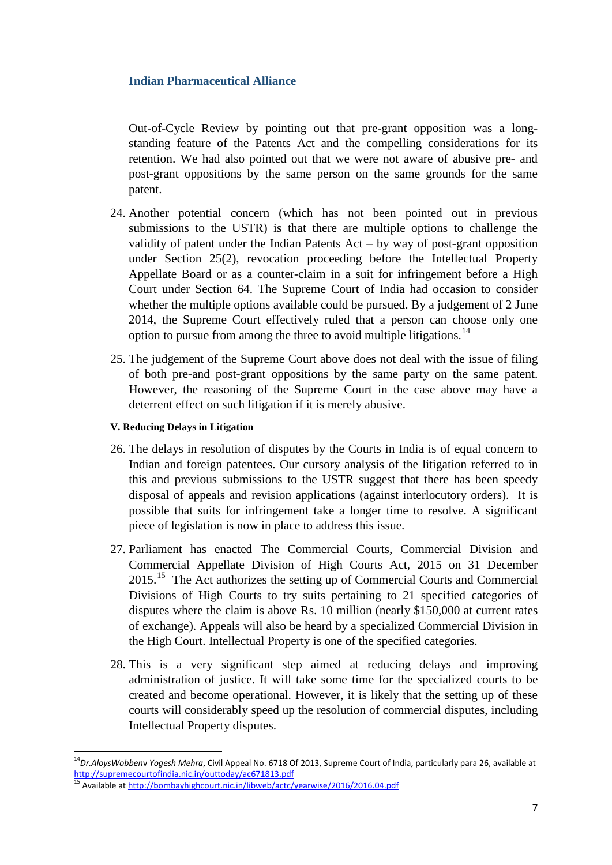Out-of-Cycle Review by pointing out that pre-grant opposition was a longstanding feature of the Patents Act and the compelling considerations for its retention. We had also pointed out that we were not aware of abusive pre- and post-grant oppositions by the same person on the same grounds for the same patent.

- 24. Another potential concern (which has not been pointed out in previous submissions to the USTR) is that there are multiple options to challenge the validity of patent under the Indian Patents Act – by way of post-grant opposition under Section 25(2), revocation proceeding before the Intellectual Property Appellate Board or as a counter-claim in a suit for infringement before a High Court under Section 64. The Supreme Court of India had occasion to consider whether the multiple options available could be pursued. By a judgement of 2 June 2014, the Supreme Court effectively ruled that a person can choose only one option to pursue from among the three to avoid multiple litigations.<sup>[14](#page-6-0)</sup>
- 25. The judgement of the Supreme Court above does not deal with the issue of filing of both pre-and post-grant oppositions by the same party on the same patent. However, the reasoning of the Supreme Court in the case above may have a deterrent effect on such litigation if it is merely abusive.

## **V. Reducing Delays in Litigation**

- 26. The delays in resolution of disputes by the Courts in India is of equal concern to Indian and foreign patentees. Our cursory analysis of the litigation referred to in this and previous submissions to the USTR suggest that there has been speedy disposal of appeals and revision applications (against interlocutory orders). It is possible that suits for infringement take a longer time to resolve. A significant piece of legislation is now in place to address this issue.
- 27. Parliament has enacted The Commercial Courts, Commercial Division and Commercial Appellate Division of High Courts Act, 2015 on 31 December 20[15](#page-6-1).<sup>15</sup> The Act authorizes the setting up of Commercial Courts and Commercial Divisions of High Courts to try suits pertaining to 21 specified categories of disputes where the claim is above Rs. 10 million (nearly \$150,000 at current rates of exchange). Appeals will also be heard by a specialized Commercial Division in the High Court. Intellectual Property is one of the specified categories.
- 28. This is a very significant step aimed at reducing delays and improving administration of justice. It will take some time for the specialized courts to be created and become operational. However, it is likely that the setting up of these courts will considerably speed up the resolution of commercial disputes, including Intellectual Property disputes.

<span id="page-6-0"></span> <sup>14</sup>*Dr.AloysWobben*<sup>v</sup> *Yogesh Mehra*, Civil Appeal No. 6718 Of 2013, Supreme Court of India, particularly para 26, available at <http://supremecourtofindia.nic.in/outtoday/ac671813.pdf>

<span id="page-6-1"></span><sup>15</sup> Available at<http://bombayhighcourt.nic.in/libweb/actc/yearwise/2016/2016.04.pdf>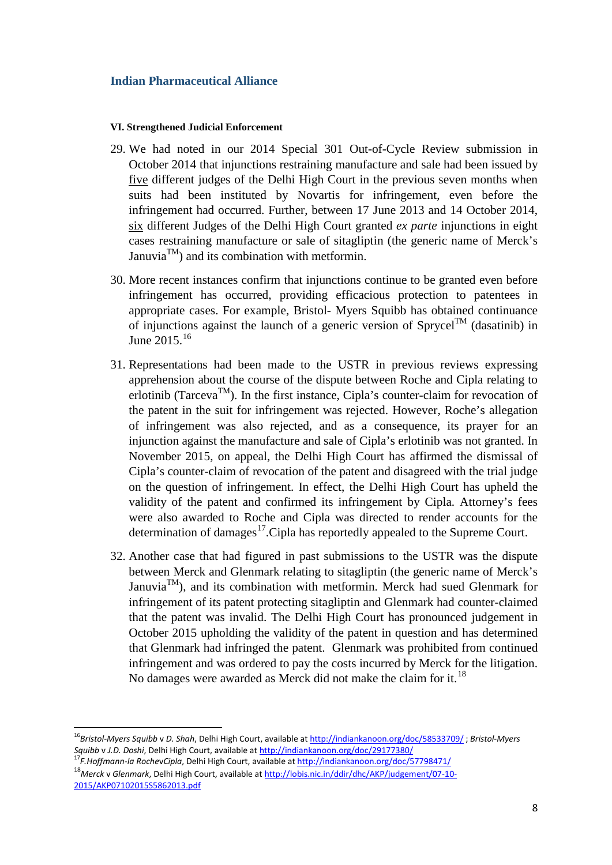#### **VI. Strengthened Judicial Enforcement**

- 29. We had noted in our 2014 Special 301 Out-of-Cycle Review submission in October 2014 that injunctions restraining manufacture and sale had been issued by five different judges of the Delhi High Court in the previous seven months when suits had been instituted by Novartis for infringement, even before the infringement had occurred. Further, between 17 June 2013 and 14 October 2014, six different Judges of the Delhi High Court granted *ex parte* injunctions in eight cases restraining manufacture or sale of sitagliptin (the generic name of Merck's Januvia<sup>TM</sup>) and its combination with metformin.
- 30. More recent instances confirm that injunctions continue to be granted even before infringement has occurred, providing efficacious protection to patentees in appropriate cases. For example, Bristol- Myers Squibb has obtained continuance of injunctions against the launch of a generic version of  $Sprycel^{TM}$  (dasatinib) in June 2015.<sup>[16](#page-7-0)</sup>
- 31. Representations had been made to the USTR in previous reviews expressing apprehension about the course of the dispute between Roche and Cipla relating to erlotinib (Tarceva<sup>TM</sup>). In the first instance, Cipla's counter-claim for revocation of the patent in the suit for infringement was rejected. However, Roche's allegation of infringement was also rejected, and as a consequence, its prayer for an injunction against the manufacture and sale of Cipla's erlotinib was not granted. In November 2015, on appeal, the Delhi High Court has affirmed the dismissal of Cipla's counter-claim of revocation of the patent and disagreed with the trial judge on the question of infringement. In effect, the Delhi High Court has upheld the validity of the patent and confirmed its infringement by Cipla. Attorney's fees were also awarded to Roche and Cipla was directed to render accounts for the determination of damages<sup>[17](#page-7-1)</sup>. Cipla has reportedly appealed to the Supreme Court.
- 32. Another case that had figured in past submissions to the USTR was the dispute between Merck and Glenmark relating to sitagliptin (the generic name of Merck's Januvia<sup>TM</sup>), and its combination with metformin. Merck had sued Glenmark for infringement of its patent protecting sitagliptin and Glenmark had counter-claimed that the patent was invalid. The Delhi High Court has pronounced judgement in October 2015 upholding the validity of the patent in question and has determined that Glenmark had infringed the patent. Glenmark was prohibited from continued infringement and was ordered to pay the costs incurred by Merck for the litigation. No damages were awarded as Merck did not make the claim for it.<sup>[18](#page-7-2)</sup>

<span id="page-7-0"></span> <sup>16</sup>*Bristol-Myers Squibb* <sup>v</sup> *D. Shah*, Delhi High Court, available a[t http://indiankanoon.org/doc/58533709/](http://indiankanoon.org/doc/58533709/) ; *Bristol-Myers Squibb* <sup>v</sup> *J.D. Doshi*, Delhi High Court, available a[t http://indiankanoon.org/doc/29177380/](http://indiankanoon.org/doc/29177380/) <sup>17</sup>*F.Hoffmann-la Roche*v*Cipla*, Delhi High Court, available a[t http://indiankanoon.org/doc/57798471/](http://indiankanoon.org/doc/57798471/)

<span id="page-7-2"></span><span id="page-7-1"></span><sup>18</sup>*Merck* v *Glenmark*, Delhi High Court, available a[t http://lobis.nic.in/ddir/dhc/AKP/judgement/07-10-](http://lobis.nic.in/ddir/dhc/AKP/judgement/07-10-2015/AKP07102015S5862013.pdf) [2015/AKP07102015S5862013.pdf](http://lobis.nic.in/ddir/dhc/AKP/judgement/07-10-2015/AKP07102015S5862013.pdf)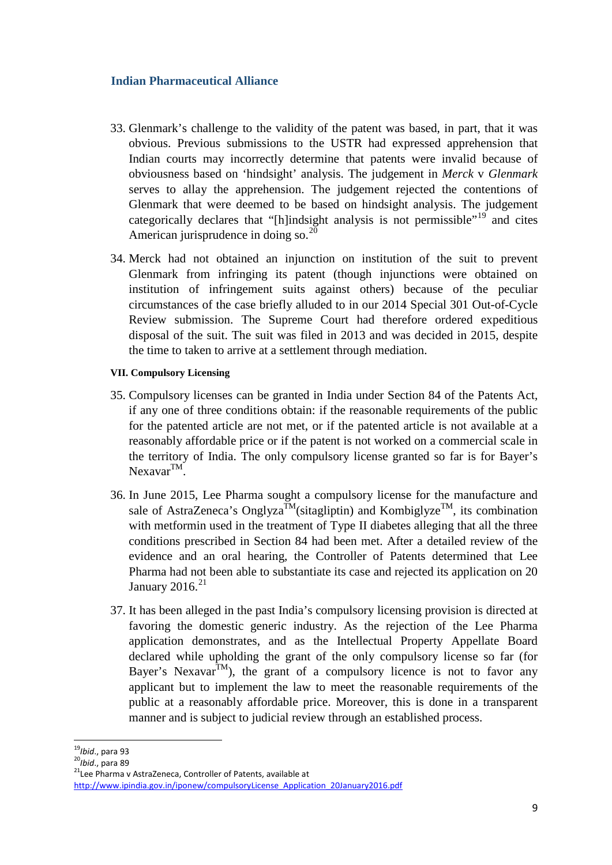- 33. Glenmark's challenge to the validity of the patent was based, in part, that it was obvious. Previous submissions to the USTR had expressed apprehension that Indian courts may incorrectly determine that patents were invalid because of obviousness based on 'hindsight' analysis. The judgement in *Merck* v *Glenmark* serves to allay the apprehension. The judgement rejected the contentions of Glenmark that were deemed to be based on hindsight analysis. The judgement categorically declares that "[h]indsight analysis is not permissible"<sup>[19](#page-8-0)</sup> and cites American jurisprudence in doing so.<sup>[20](#page-8-1)</sup>
- 34. Merck had not obtained an injunction on institution of the suit to prevent Glenmark from infringing its patent (though injunctions were obtained on institution of infringement suits against others) because of the peculiar circumstances of the case briefly alluded to in our 2014 Special 301 Out-of-Cycle Review submission. The Supreme Court had therefore ordered expeditious disposal of the suit. The suit was filed in 2013 and was decided in 2015, despite the time to taken to arrive at a settlement through mediation.

## **VII. Compulsory Licensing**

- 35. Compulsory licenses can be granted in India under Section 84 of the Patents Act, if any one of three conditions obtain: if the reasonable requirements of the public for the patented article are not met, or if the patented article is not available at a reasonably affordable price or if the patent is not worked on a commercial scale in the territory of India. The only compulsory license granted so far is for Bayer's  $Nexavar^{TM}$ .
- 36. In June 2015, Lee Pharma sought a compulsory license for the manufacture and sale of AstraZeneca's Onglyza<sup>TM</sup>(sitagliptin) and Kombiglyze<sup>TM</sup>, its combination with metformin used in the treatment of Type II diabetes alleging that all the three conditions prescribed in Section 84 had been met. After a detailed review of the evidence and an oral hearing, the Controller of Patents determined that Lee Pharma had not been able to substantiate its case and rejected its application on 20 January 2016. $^{21}$  $^{21}$  $^{21}$
- 37. It has been alleged in the past India's compulsory licensing provision is directed at favoring the domestic generic industry. As the rejection of the Lee Pharma application demonstrates, and as the Intellectual Property Appellate Board declared while upholding the grant of the only compulsory license so far (for Bayer's Nexavar<sup>TM</sup>), the grant of a compulsory licence is not to favor any applicant but to implement the law to meet the reasonable requirements of the public at a reasonably affordable price. Moreover, this is done in a transparent manner and is subject to judicial review through an established process.

<span id="page-8-1"></span>

<span id="page-8-0"></span><sup>&</sup>lt;sup>19</sup>*Ibid., para 93*<br><sup>20</sup>*Ibid., para 89*<br><sup>21</sup>Lee Pharma v AstraZeneca, Controller of Patents, available at

<span id="page-8-2"></span>[http://www.ipindia.gov.in/iponew/compulsoryLicense\\_Application\\_20January2016.pdf](http://www.ipindia.gov.in/iponew/compulsoryLicense_Application_20January2016.pdf)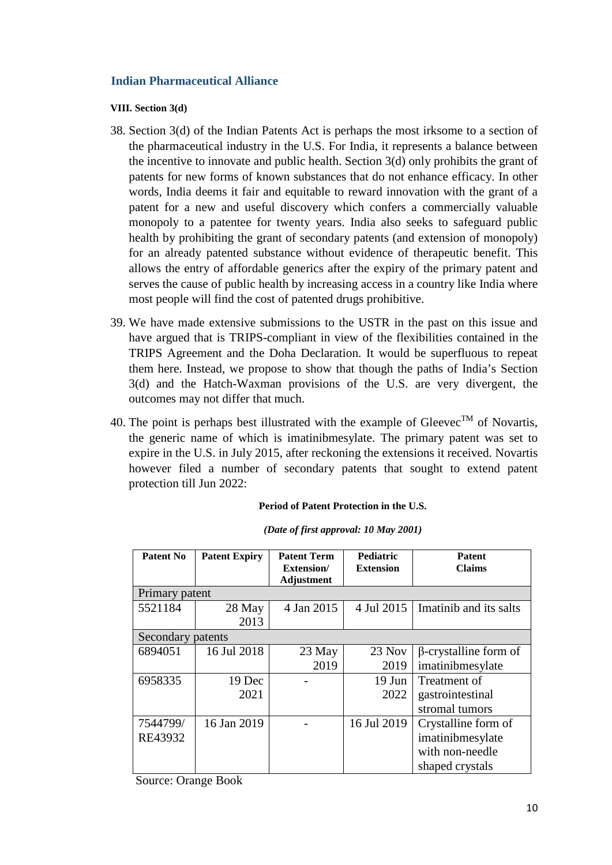## **VIII. Section 3(d)**

- 38. Section 3(d) of the Indian Patents Act is perhaps the most irksome to a section of the pharmaceutical industry in the U.S. For India, it represents a balance between the incentive to innovate and public health. Section 3(d) only prohibits the grant of patents for new forms of known substances that do not enhance efficacy. In other words, India deems it fair and equitable to reward innovation with the grant of a patent for a new and useful discovery which confers a commercially valuable monopoly to a patentee for twenty years. India also seeks to safeguard public health by prohibiting the grant of secondary patents (and extension of monopoly) for an already patented substance without evidence of therapeutic benefit. This allows the entry of affordable generics after the expiry of the primary patent and serves the cause of public health by increasing access in a country like India where most people will find the cost of patented drugs prohibitive.
- 39. We have made extensive submissions to the USTR in the past on this issue and have argued that is TRIPS-compliant in view of the flexibilities contained in the TRIPS Agreement and the Doha Declaration. It would be superfluous to repeat them here. Instead, we propose to show that though the paths of India's Section 3(d) and the Hatch-Waxman provisions of the U.S. are very divergent, the outcomes may not differ that much.
- 40. The point is perhaps best illustrated with the example of Gleevec<sup>TM</sup> of Novartis, the generic name of which is imatinibmesylate. The primary patent was set to expire in the U.S. in July 2015, after reckoning the extensions it received. Novartis however filed a number of secondary patents that sought to extend patent protection till Jun 2022:

#### **Period of Patent Protection in the U.S.**

| Patent No         | <b>Patent Expiry</b> | <b>Patent Term</b> | <b>Pediatric</b> | <b>Patent</b>                |  |  |  |  |  |
|-------------------|----------------------|--------------------|------------------|------------------------------|--|--|--|--|--|
|                   |                      | Extension/         | <b>Extension</b> | <b>Claims</b>                |  |  |  |  |  |
|                   |                      | <b>Adjustment</b>  |                  |                              |  |  |  |  |  |
| Primary patent    |                      |                    |                  |                              |  |  |  |  |  |
| 5521184           | 28 May               | 4 Jan 2015         | 4 Jul 2015       | Imatinib and its salts       |  |  |  |  |  |
|                   | 2013                 |                    |                  |                              |  |  |  |  |  |
| Secondary patents |                      |                    |                  |                              |  |  |  |  |  |
| 6894051           | 16 Jul 2018          | $23$ May           | $23$ Nov         | $\beta$ -crystalline form of |  |  |  |  |  |
|                   |                      | 2019               | 2019             | imatinibmesylate             |  |  |  |  |  |
| 6958335           | 19 Dec               |                    | $19$ Jun         | Treatment of                 |  |  |  |  |  |
|                   | 2021                 |                    | 2022             | gastrointestinal             |  |  |  |  |  |
|                   |                      |                    |                  | stromal tumors               |  |  |  |  |  |
| 7544799/          | 16 Jan 2019          |                    | 16 Jul 2019      | Crystalline form of          |  |  |  |  |  |
| RE43932           |                      |                    |                  | imatinibmesylate             |  |  |  |  |  |
|                   |                      |                    |                  | with non-needle              |  |  |  |  |  |
|                   |                      |                    |                  | shaped crystals              |  |  |  |  |  |

*(Date of first approval: 10 May 2001)*

Source: Orange Book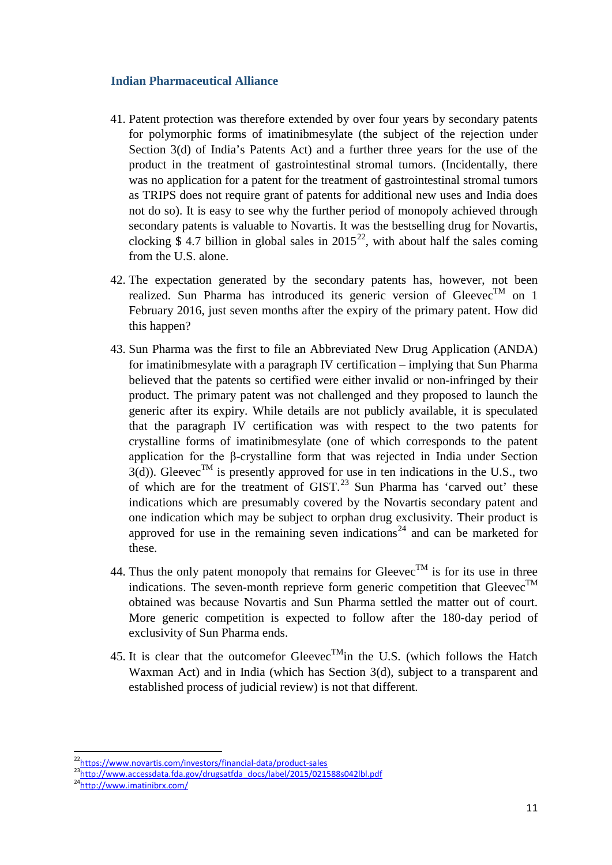- 41. Patent protection was therefore extended by over four years by secondary patents for polymorphic forms of imatinibmesylate (the subject of the rejection under Section 3(d) of India's Patents Act) and a further three years for the use of the product in the treatment of gastrointestinal stromal tumors. (Incidentally, there was no application for a patent for the treatment of gastrointestinal stromal tumors as TRIPS does not require grant of patents for additional new uses and India does not do so). It is easy to see why the further period of monopoly achieved through secondary patents is valuable to Novartis. It was the bestselling drug for Novartis, clocking \$4.7 billion in global sales in  $2015^{22}$  $2015^{22}$  $2015^{22}$ , with about half the sales coming from the U.S. alone.
- 42. The expectation generated by the secondary patents has, however, not been realized. Sun Pharma has introduced its generic version of Gleevec<sup>TM</sup> on 1 February 2016, just seven months after the expiry of the primary patent. How did this happen?
- 43. Sun Pharma was the first to file an Abbreviated New Drug Application (ANDA) for imatinibmesylate with a paragraph IV certification – implying that Sun Pharma believed that the patents so certified were either invalid or non-infringed by their product. The primary patent was not challenged and they proposed to launch the generic after its expiry. While details are not publicly available, it is speculated that the paragraph IV certification was with respect to the two patents for crystalline forms of imatinibmesylate (one of which corresponds to the patent application for the β-crystalline form that was rejected in India under Section  $3(d)$ ). Gleevec<sup>TM</sup> is presently approved for use in ten indications in the U.S., two of which are for the treatment of GIST.<sup>[23](#page-10-1)</sup> Sun Pharma has 'carved out' these indications which are presumably covered by the Novartis secondary patent and one indication which may be subject to orphan drug exclusivity. Their product is approved for use in the remaining seven indications<sup>[24](#page-10-2)</sup> and can be marketed for these.
- 44. Thus the only patent monopoly that remains for Gleevec<sup>TM</sup> is for its use in three indications. The seven-month reprieve form generic competition that Gleevec<sup>TM</sup> obtained was because Novartis and Sun Pharma settled the matter out of court. More generic competition is expected to follow after the 180-day period of exclusivity of Sun Pharma ends.
- 45. It is clear that the outcomefor Gleevec<sup>TM</sup>in the U.S. (which follows the Hatch Waxman Act) and in India (which has Section 3(d), subject to a transparent and established process of judicial review) is not that different.

<span id="page-10-0"></span><sup>&</sup>lt;sup>22</sup>https://www.novartis.com/investors/financial-data/product-sales<br><sup>23</sup>http://www.accessdata.fda.gov/drugsatfda\_docs/label/2015/021588s042lbl.pdf

<span id="page-10-2"></span><span id="page-10-1"></span>[<sup>24</sup>http://www.imatinibrx.com/](http://www.imatinibrx.com/)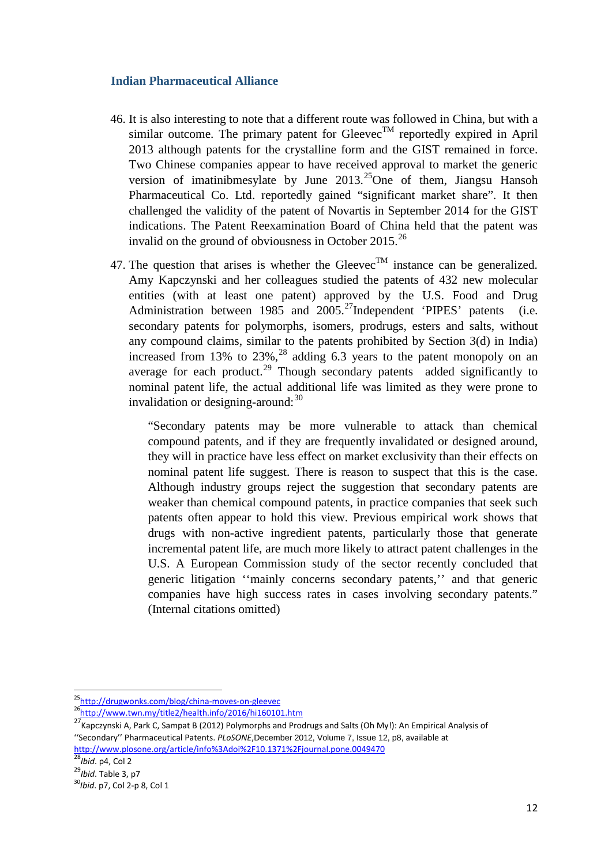- 46. It is also interesting to note that a different route was followed in China, but with a similar outcome. The primary patent for Gleevec<sup>TM</sup> reportedly expired in April 2013 although patents for the crystalline form and the GIST remained in force. Two Chinese companies appear to have received approval to market the generic version of imatinibmesylate by June  $2013<sup>25</sup>$  $2013<sup>25</sup>$  $2013<sup>25</sup>$  One of them, Jiangsu Hansoh Pharmaceutical Co. Ltd. reportedly gained "significant market share". It then challenged the validity of the patent of Novartis in September 2014 for the GIST indications. The Patent Reexamination Board of China held that the patent was invalid on the ground of obviousness in October 2015.<sup>[26](#page-11-1)</sup>
- 47. The question that arises is whether the Gleevec<sup>TM</sup> instance can be generalized. Amy Kapczynski and her colleagues studied the patents of 432 new molecular entities (with at least one patent) approved by the U.S. Food and Drug Administration between 1985 and 2005.<sup>27</sup>Independent 'PIPES' patents (i.e. secondary patents for polymorphs, isomers, prodrugs, esters and salts, without any compound claims, similar to the patents prohibited by Section 3(d) in India) increased from 13% to  $23\%$ ,<sup>[28](#page-11-3)</sup> adding 6.3 years to the patent monopoly on an average for each product.<sup>[29](#page-11-4)</sup> Though secondary patents added significantly to nominal patent life, the actual additional life was limited as they were prone to invalidation or designing-around: $30$

"Secondary patents may be more vulnerable to attack than chemical compound patents, and if they are frequently invalidated or designed around, they will in practice have less effect on market exclusivity than their effects on nominal patent life suggest. There is reason to suspect that this is the case. Although industry groups reject the suggestion that secondary patents are weaker than chemical compound patents, in practice companies that seek such patents often appear to hold this view. Previous empirical work shows that drugs with non-active ingredient patents, particularly those that generate incremental patent life, are much more likely to attract patent challenges in the U.S. A European Commission study of the sector recently concluded that generic litigation ''mainly concerns secondary patents,'' and that generic companies have high success rates in cases involving secondary patents." (Internal citations omitted)

<span id="page-11-0"></span><sup>&</sup>lt;sup>25</sup>http://drugwonks.com/blog/china-moves-on-gleevec<br><sup>26</sup>http<u>://www.twn.my/title2/health.info/2016/hi160101.htm</u>

<span id="page-11-2"></span><span id="page-11-1"></span><sup>&</sup>lt;sup>27</sup> Kapczynski A, Park C, Sampat B (2012) Polymorphs and Prodrugs and Salts (Oh My!): An Empirical Analysis of ''Secondary'' Pharmaceutical Patents. *PLoSONE*,December 2012, Volume 7, Issue 12, p8, available at <http://www.plosone.org/article/info%3Adoi%2F10.1371%2Fjournal.pone.0049470>

<span id="page-11-3"></span><sup>28</sup>*Ibid*. p4, Col 2

<span id="page-11-4"></span><sup>29</sup>*Ibid*. Table 3, p7

<span id="page-11-5"></span><sup>30</sup>*Ibid*. p7, Col 2-p 8, Col 1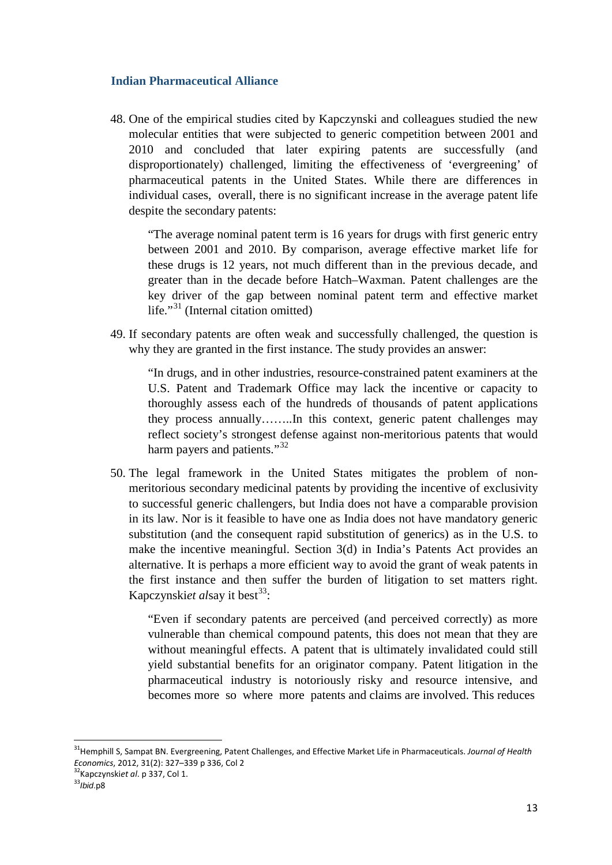48. One of the empirical studies cited by Kapczynski and colleagues studied the new molecular entities that were subjected to generic competition between 2001 and 2010 and concluded that later expiring patents are successfully (and disproportionately) challenged, limiting the effectiveness of 'evergreening' of pharmaceutical patents in the United States. While there are differences in individual cases, overall, there is no significant increase in the average patent life despite the secondary patents:

"The average nominal patent term is 16 years for drugs with first generic entry between 2001 and 2010. By comparison, average effective market life for these drugs is 12 years, not much different than in the previous decade, and greater than in the decade before Hatch–Waxman. Patent challenges are the key driver of the gap between nominal patent term and effective market life."<sup>[31](#page-12-0)</sup> (Internal citation omitted)

49. If secondary patents are often weak and successfully challenged, the question is why they are granted in the first instance. The study provides an answer:

"In drugs, and in other industries, resource-constrained patent examiners at the U.S. Patent and Trademark Office may lack the incentive or capacity to thoroughly assess each of the hundreds of thousands of patent applications they process annually……..In this context, generic patent challenges may reflect society's strongest defense against non-meritorious patents that would harm payers and patients."<sup>[32](#page-12-1)</sup>

50. The legal framework in the United States mitigates the problem of nonmeritorious secondary medicinal patents by providing the incentive of exclusivity to successful generic challengers, but India does not have a comparable provision in its law. Nor is it feasible to have one as India does not have mandatory generic substitution (and the consequent rapid substitution of generics) as in the U.S. to make the incentive meaningful. Section 3(d) in India's Patents Act provides an alternative. It is perhaps a more efficient way to avoid the grant of weak patents in the first instance and then suffer the burden of litigation to set matters right. Kapczynski*et alsay* it best<sup>[33](#page-12-2)</sup>:

"Even if secondary patents are perceived (and perceived correctly) as more vulnerable than chemical compound patents, this does not mean that they are without meaningful effects. A patent that is ultimately invalidated could still yield substantial benefits for an originator company. Patent litigation in the pharmaceutical industry is notoriously risky and resource intensive, and becomes more so where more patents and claims are involved. This reduces

<span id="page-12-0"></span> <sup>31</sup>Hemphill S, Sampat BN. Evergreening, Patent Challenges, and Effective Market Life in Pharmaceuticals. *Journal of Health Economics*, 2012, 31(2): 327–339 p 336, Col 2<br><sup>32</sup>Kapczynski*et al.* p 337, Col 1.<br><sup>33</sup>*Ibid.*p8

<span id="page-12-2"></span><span id="page-12-1"></span>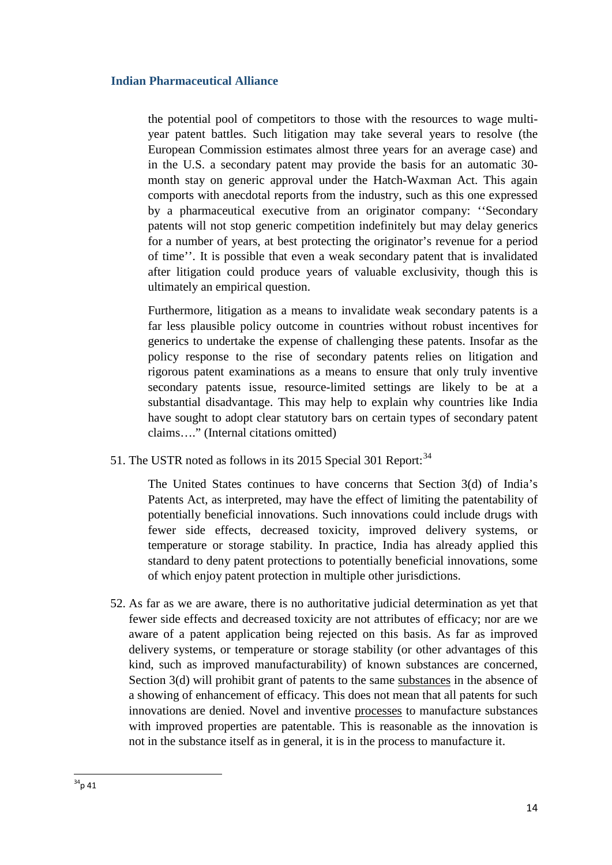the potential pool of competitors to those with the resources to wage multiyear patent battles. Such litigation may take several years to resolve (the European Commission estimates almost three years for an average case) and in the U.S. a secondary patent may provide the basis for an automatic 30 month stay on generic approval under the Hatch-Waxman Act. This again comports with anecdotal reports from the industry, such as this one expressed by a pharmaceutical executive from an originator company: ''Secondary patents will not stop generic competition indefinitely but may delay generics for a number of years, at best protecting the originator's revenue for a period of time''. It is possible that even a weak secondary patent that is invalidated after litigation could produce years of valuable exclusivity, though this is ultimately an empirical question.

Furthermore, litigation as a means to invalidate weak secondary patents is a far less plausible policy outcome in countries without robust incentives for generics to undertake the expense of challenging these patents. Insofar as the policy response to the rise of secondary patents relies on litigation and rigorous patent examinations as a means to ensure that only truly inventive secondary patents issue, resource-limited settings are likely to be at a substantial disadvantage. This may help to explain why countries like India have sought to adopt clear statutory bars on certain types of secondary patent claims…." (Internal citations omitted)

51. The USTR noted as follows in its 2015 Special 301 Report:<sup>[34](#page-13-0)</sup>

The United States continues to have concerns that Section 3(d) of India's Patents Act, as interpreted, may have the effect of limiting the patentability of potentially beneficial innovations. Such innovations could include drugs with fewer side effects, decreased toxicity, improved delivery systems, or temperature or storage stability. In practice, India has already applied this standard to deny patent protections to potentially beneficial innovations, some of which enjoy patent protection in multiple other jurisdictions.

<span id="page-13-0"></span>52. As far as we are aware, there is no authoritative judicial determination as yet that fewer side effects and decreased toxicity are not attributes of efficacy; nor are we aware of a patent application being rejected on this basis. As far as improved delivery systems, or temperature or storage stability (or other advantages of this kind, such as improved manufacturability) of known substances are concerned, Section 3(d) will prohibit grant of patents to the same substances in the absence of a showing of enhancement of efficacy. This does not mean that all patents for such innovations are denied. Novel and inventive processes to manufacture substances with improved properties are patentable. This is reasonable as the innovation is not in the substance itself as in general, it is in the process to manufacture it.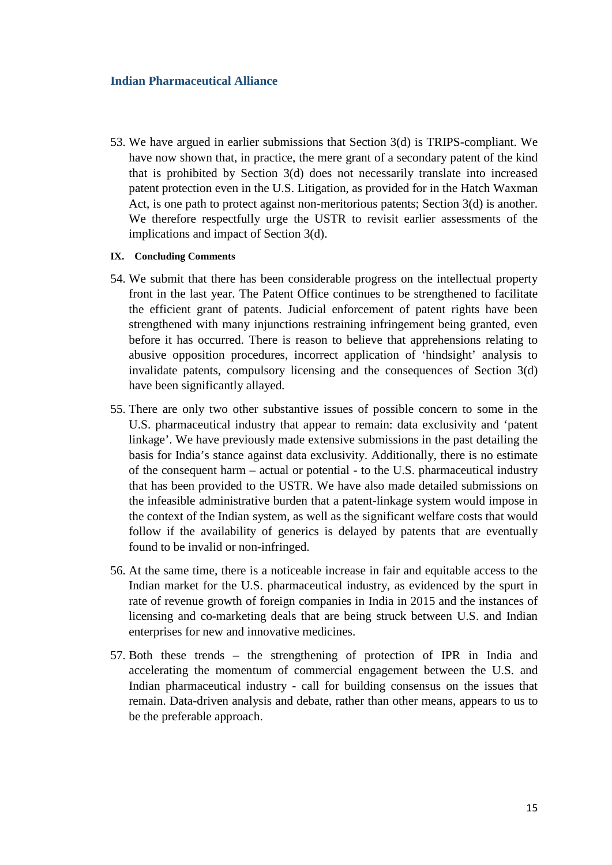53. We have argued in earlier submissions that Section 3(d) is TRIPS-compliant. We have now shown that, in practice, the mere grant of a secondary patent of the kind that is prohibited by Section 3(d) does not necessarily translate into increased patent protection even in the U.S. Litigation, as provided for in the Hatch Waxman Act, is one path to protect against non-meritorious patents; Section 3(d) is another. We therefore respectfully urge the USTR to revisit earlier assessments of the implications and impact of Section 3(d).

#### **IX. Concluding Comments**

- 54. We submit that there has been considerable progress on the intellectual property front in the last year. The Patent Office continues to be strengthened to facilitate the efficient grant of patents. Judicial enforcement of patent rights have been strengthened with many injunctions restraining infringement being granted, even before it has occurred. There is reason to believe that apprehensions relating to abusive opposition procedures, incorrect application of 'hindsight' analysis to invalidate patents, compulsory licensing and the consequences of Section 3(d) have been significantly allayed.
- 55. There are only two other substantive issues of possible concern to some in the U.S. pharmaceutical industry that appear to remain: data exclusivity and 'patent linkage'. We have previously made extensive submissions in the past detailing the basis for India's stance against data exclusivity. Additionally, there is no estimate of the consequent harm – actual or potential - to the U.S. pharmaceutical industry that has been provided to the USTR. We have also made detailed submissions on the infeasible administrative burden that a patent-linkage system would impose in the context of the Indian system, as well as the significant welfare costs that would follow if the availability of generics is delayed by patents that are eventually found to be invalid or non-infringed.
- 56. At the same time, there is a noticeable increase in fair and equitable access to the Indian market for the U.S. pharmaceutical industry, as evidenced by the spurt in rate of revenue growth of foreign companies in India in 2015 and the instances of licensing and co-marketing deals that are being struck between U.S. and Indian enterprises for new and innovative medicines.
- 57. Both these trends the strengthening of protection of IPR in India and accelerating the momentum of commercial engagement between the U.S. and Indian pharmaceutical industry - call for building consensus on the issues that remain. Data-driven analysis and debate, rather than other means, appears to us to be the preferable approach.